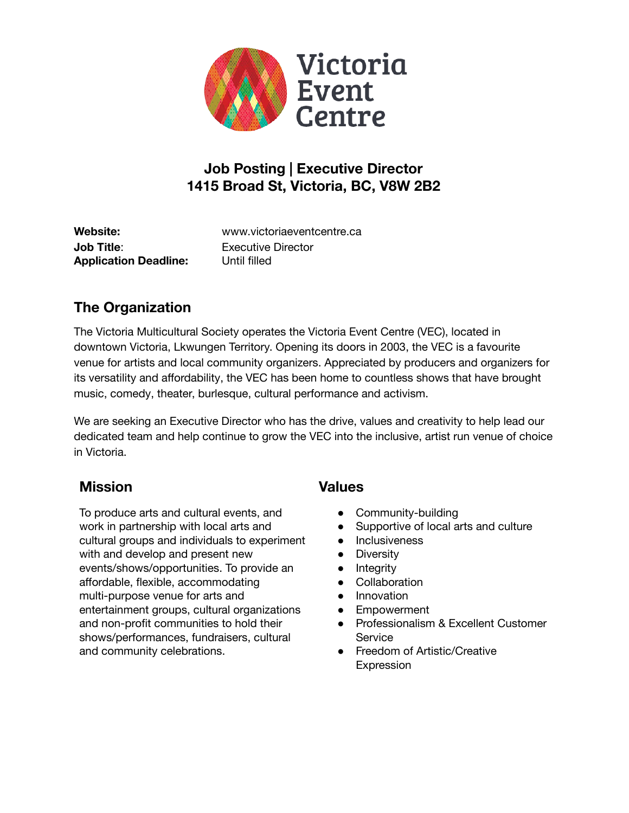

# **Job Posting | Executive Director 1415 Broad St, Victoria, BC, V8W 2B2**

**Job Title**: Executive Director **Application Deadline:** Until filled

**Website:** www.victoriaeventcentre.ca

# **The Organization**

The Victoria Multicultural Society operates the Victoria Event Centre (VEC), located in downtown Victoria, Lkwungen Territory. Opening its doors in 2003, the VEC is a favourite venue for artists and local community organizers. Appreciated by producers and organizers for its versatility and affordability, the VEC has been home to countless shows that have brought music, comedy, theater, burlesque, cultural performance and activism.

We are seeking an Executive Director who has the drive, values and creativity to help lead our dedicated team and help continue to grow the VEC into the inclusive, artist run venue of choice in Victoria.

# **Mission Values**

To produce arts and cultural events, and work in partnership with local arts and cultural groups and individuals to experiment with and develop and present new events/shows/opportunities. To provide an affordable, flexible, accommodating multi-purpose venue for arts and entertainment groups, cultural organizations and non-profit communities to hold their shows/performances, fundraisers, cultural and community celebrations.

- Community-building
- Supportive of local arts and culture
- Inclusiveness
- **•** Diversity
- Integrity
- Collaboration
- Innovation
- Empowerment
- Professionalism & Excellent Customer **Service**
- Freedom of Artistic/Creative Expression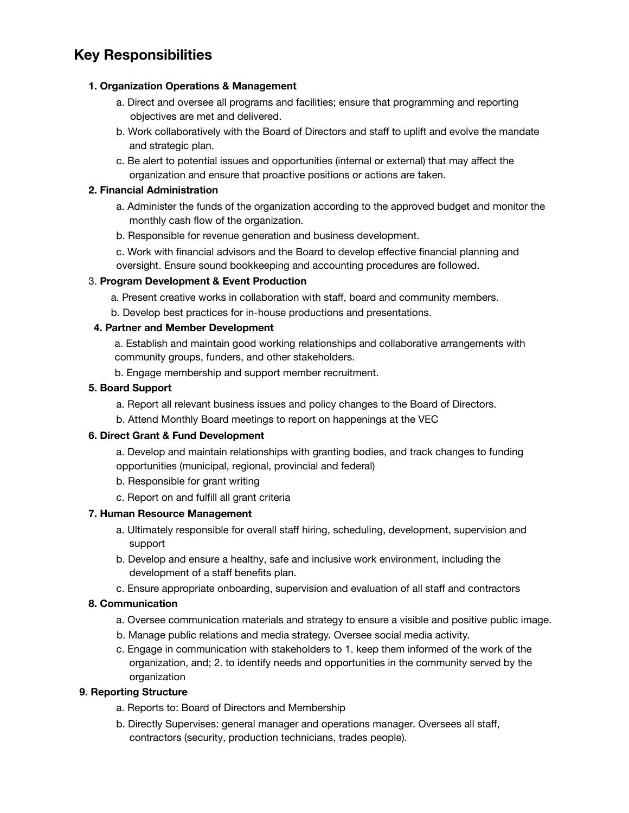# **Key Responsibilities**

#### **1. Organization Operations & Management**

- a. Direct and oversee all programs and facilities; ensure that programming and reporting objectives are met and delivered.
- b. Work collaboratively with the Board of Directors and staff to uplift and evolve the mandate and strategic plan.
- c. Be alert to potential issues and opportunities (internal or external) that may affect the organization and ensure that proactive positions or actions are taken.

### **2. Financial Administration**

- a. Administer the funds of the organization according to the approved budget and monitor the monthly cash flow of the organization.
- b. Responsible for revenue generation and business development.

c. Work with financial advisors and the Board to develop effective financial planning and oversight. Ensure sound bookkeeping and accounting procedures are followed.

## 3. **Program Development & Event Production**

- a. Present creative works in collaboration with staff, board and community members.
- b. Develop best practices for in-house productions and presentations.

## **4. Partner and Member Development**

a. Establish and maintain good working relationships and collaborative arrangements with community groups, funders, and other stakeholders.

b. Engage membership and support member recruitment.

### **5. Board Support**

- a. Report all relevant business issues and policy changes to the Board of Directors.
- b. Attend Monthly Board meetings to report on happenings at the VEC

#### **6. Direct Grant & Fund Development**

a. Develop and maintain relationships with granting bodies, and track changes to funding opportunities (municipal, regional, provincial and federal)

- b. Responsible for grant writing
- c. Report on and fulfill all grant criteria

## **7. Human Resource Management**

- a. Ultimately responsible for overall staff hiring, scheduling, development, supervision and support
- b. Develop and ensure a healthy, safe and inclusive work environment, including the development of a staff benefits plan.
- c. Ensure appropriate onboarding, supervision and evaluation of all staff and contractors

## **8. Communication**

- a. Oversee communication materials and strategy to ensure a visible and positive public image.
- b. Manage public relations and media strategy. Oversee social media activity.
- c. Engage in communication with stakeholders to 1. keep them informed of the work of the organization, and; 2. to identify needs and opportunities in the community served by the organization

## **9. Reporting Structure**

- a. Reports to: Board of Directors and Membership
- b. Directly Supervises: general manager and operations manager. Oversees all staff, contractors (security, production technicians, trades people).